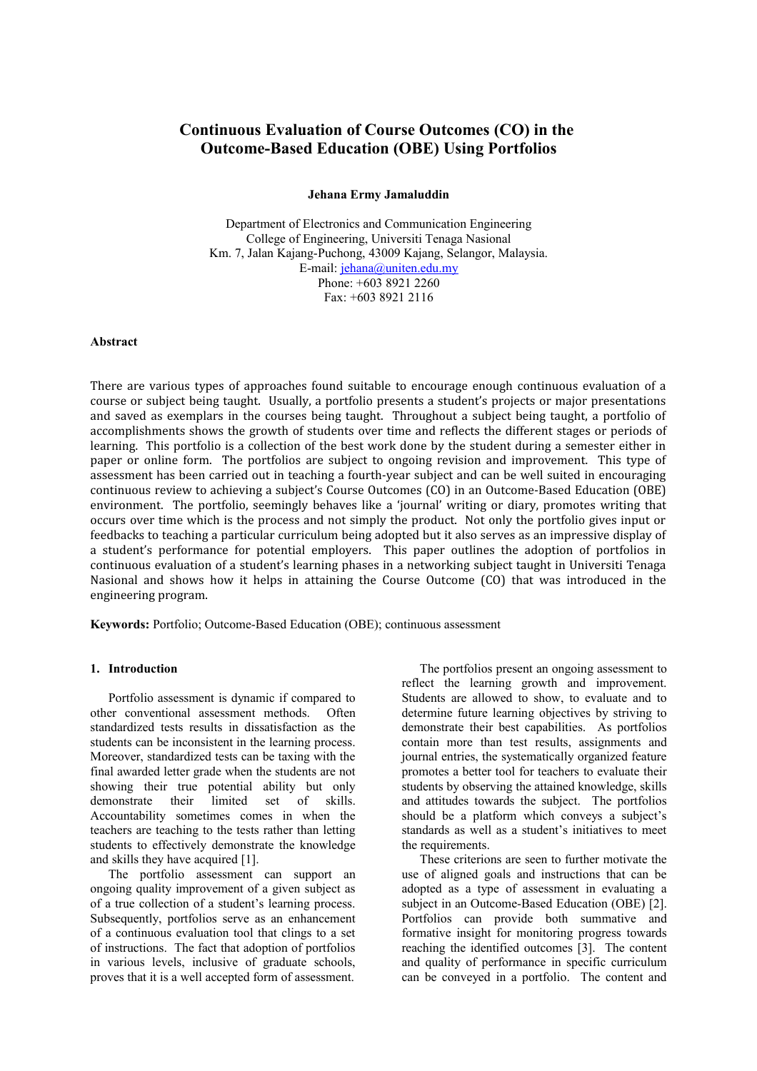# **Continuous Evaluation of Course Outcomes (CO) in the Outcome-Based Education (OBE) Using Portfolios**

#### **Jehana Ermy Jamaluddin**

Department of Electronics and Communication Engineering College of Engineering, Universiti Tenaga Nasional Km. 7, Jalan Kajang-Puchong, 43009 Kajang, Selangor, Malaysia. E-mail: [jehana@uniten.edu.my](mailto:jehana@uniten.edu.my) Phone: +603 8921 2260 Fax: +603 8921 2116

#### **Abstract**

There are various types of approaches found suitable to encourage enough continuous evaluation of a course or subject being taught. Usually, a portfolio presents a student's projects or major presentations and saved as exemplars in the courses being taught. Throughout a subject being taught, a portfolio of accomplishments shows the growth of students over time and reflects the different stages or periods of learning. This portfolio is a collection of the best work done by the student during a semester either in paper or online form. The portfolios are subject to ongoing revision and improvement. This type of assessment has been carried out in teaching a fourth-year subject and can be well suited in encouraging continuous review to achieving a subject's Course Outcomes (CO) in an Outcome-Based Education (OBE) environment. The portfolio, seemingly behaves like a 'journal' writing or diary, promotes writing that occurs over time which is the process and not simply the product. Not only the portfolio gives input or feedbacks to teaching a particular curriculum being adopted but it also serves as an impressive display of a student's performance for potential employers. This paper outlines the adoption of portfolios in continuous evaluation of a student's learning phases in a networking subject taught in Universiti Tenaga Nasional and shows how it helps in attaining the Course Outcome (CO) that was introduced in the engineering program.

**Keywords:** Portfolio; Outcome-Based Education (OBE); continuous assessment

#### **1. Introduction**

Portfolio assessment is dynamic if compared to other conventional assessment methods. Often standardized tests results in dissatisfaction as the students can be inconsistent in the learning process. Moreover, standardized tests can be taxing with the final awarded letter grade when the students are not showing their true potential ability but only demonstrate their limited set of skills. Accountability sometimes comes in when the teachers are teaching to the tests rather than letting students to effectively demonstrate the knowledge and skills they have acquired [1].

The portfolio assessment can support an ongoing quality improvement of a given subject as of a true collection of a student's learning process. Subsequently, portfolios serve as an enhancement of a continuous evaluation tool that clings to a set of instructions. The fact that adoption of portfolios in various levels, inclusive of graduate schools, proves that it is a well accepted form of assessment.

The portfolios present an ongoing assessment to reflect the learning growth and improvement. Students are allowed to show, to evaluate and to determine future learning objectives by striving to demonstrate their best capabilities. As portfolios contain more than test results, assignments and journal entries, the systematically organized feature promotes a better tool for teachers to evaluate their students by observing the attained knowledge, skills and attitudes towards the subject. The portfolios should be a platform which conveys a subject's standards as well as a student's initiatives to meet the requirements.

These criterions are seen to further motivate the use of aligned goals and instructions that can be adopted as a type of assessment in evaluating a subject in an Outcome-Based Education (OBE) [2]. Portfolios can provide both summative and formative insight for monitoring progress towards reaching the identified outcomes [3]. The content and quality of performance in specific curriculum can be conveyed in a portfolio. The content and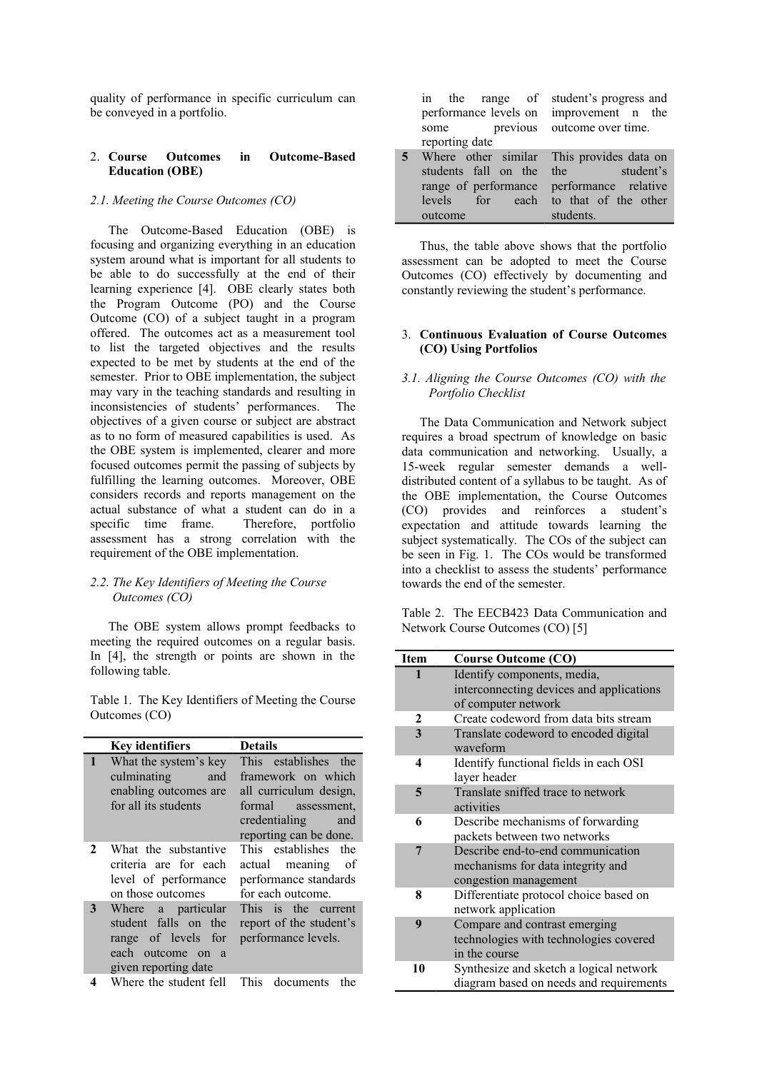quality of performance in specific curriculum can be conveyed in a portfolio.

#### 2. **Course Outcomes in Outcome-Based Education (OBE)**

# *2.1. Meeting the Course Outcomes (CO)*

The Outcome-Based Education (OBE) is focusing and organizing everything in an education system around what is important for all students to be able to do successfully at the end of their learning experience [4]. OBE clearly states both the Program Outcome (PO) and the Course Outcome (CO) of a subject taught in a program offered. The outcomes act as a measurement tool to list the targeted objectives and the results expected to be met by students at the end of the semester. Prior to OBE implementation, the subject may vary in the teaching standards and resulting in inconsistencies of students' performances. The objectives of a given course or subject are abstract as to no form of measured capabilities is used. As the OBE system is implemented, clearer and more focused outcomes permit the passing of subjects by fulfilling the learning outcomes. Moreover, OBE considers records and reports management on the actual substance of what a student can do in a specific time frame. Therefore, portfolio assessment has a strong correlation with the requirement of the OBE implementation.

## *2.2. The Key Identifiers of Meeting the Course Outcomes (CO)*

The OBE system allows prompt feedbacks to meeting the required outcomes on a regular basis. In [4], the strength or points are shown in the following table.

Table 1. The Key Identifiers of Meeting the Course Outcomes (CO)

|   | <b>Key identifiers</b>                                                                                                       | <b>Details</b>                                                                                                                               |
|---|------------------------------------------------------------------------------------------------------------------------------|----------------------------------------------------------------------------------------------------------------------------------------------|
|   | What the system's key<br>culminating<br>and<br>enabling outcomes are<br>for all its students                                 | This establishes the<br>framework on which<br>all curriculum design,<br>formal assessment,<br>credentialing<br>and<br>reporting can be done. |
| 2 | What the substantive<br>criteria are for each<br>level of performance<br>on those outcomes                                   | This establishes the<br>actual meaning of<br>performance standards<br>for each outcome.                                                      |
| 3 | Where a particular<br>student falls on the<br>range of levels for<br>each outcome on<br><sub>a</sub><br>given reporting date | This is the current<br>report of the student's<br>performance levels.                                                                        |
|   | Where the student fell                                                                                                       | documents<br>This<br>the                                                                                                                     |

| in the range of                           | student's progress and      |
|-------------------------------------------|-----------------------------|
| performance levels on                     | improvement n the           |
| some                                      | previous outcome over time. |
| reporting date                            |                             |
| Where other similar This provides data on |                             |
| students fall on the                      | student's<br>the            |
| range of performance                      | performance relative        |
| levels<br>each<br>for                     | to that of the other        |
| outcome                                   | students.                   |

Thus, the table above shows that the portfolio assessment can be adopted to meet the Course Outcomes (CO) effectively by documenting and constantly reviewing the student's performance.

#### 3. **Continuous Evaluation of Course Outcomes (CO) Using Portfolios**

## *3.1. Aligning the Course Outcomes (CO) with the Portfolio Checklist*

The Data Communication and Network subject requires a broad spectrum of knowledge on basic data communication and networking. Usually, a 15-week regular semester demands a welldistributed content of a syllabus to be taught. As of the OBE implementation, the Course Outcomes (CO) provides and reinforces a student's expectation and attitude towards learning the subject systematically. The COs of the subject can be seen in Fig. 1. The COs would be transformed into a checklist to assess the students' performance towards the end of the semester.

Table 2. The EECB423 Data Communication and Network Course Outcomes (CO) [5]

| <b>Item</b> | <b>Course Outcome (CO)</b>                        |
|-------------|---------------------------------------------------|
| 1           | Identify components, media,                       |
|             | interconnecting devices and applications          |
|             | of computer network                               |
| 2           | Create codeword from data bits stream             |
| 3           | Translate codeword to encoded digital<br>waveform |
| 4           | Identify functional fields in each OSI            |
|             | layer header                                      |
| 5           | Translate sniffed trace to network                |
|             | activities                                        |
| 6           | Describe mechanisms of forwarding                 |
|             | packets between two networks                      |
| 7           | Describe end-to-end communication                 |
|             | mechanisms for data integrity and                 |
|             | congestion management                             |
| 8           | Differentiate protocol choice based on            |
|             | network application                               |
| 9           | Compare and contrast emerging                     |
|             | technologies with technologies covered            |
|             | in the course                                     |
| 10          | Synthesize and sketch a logical network           |
|             | diagram based on needs and requirements           |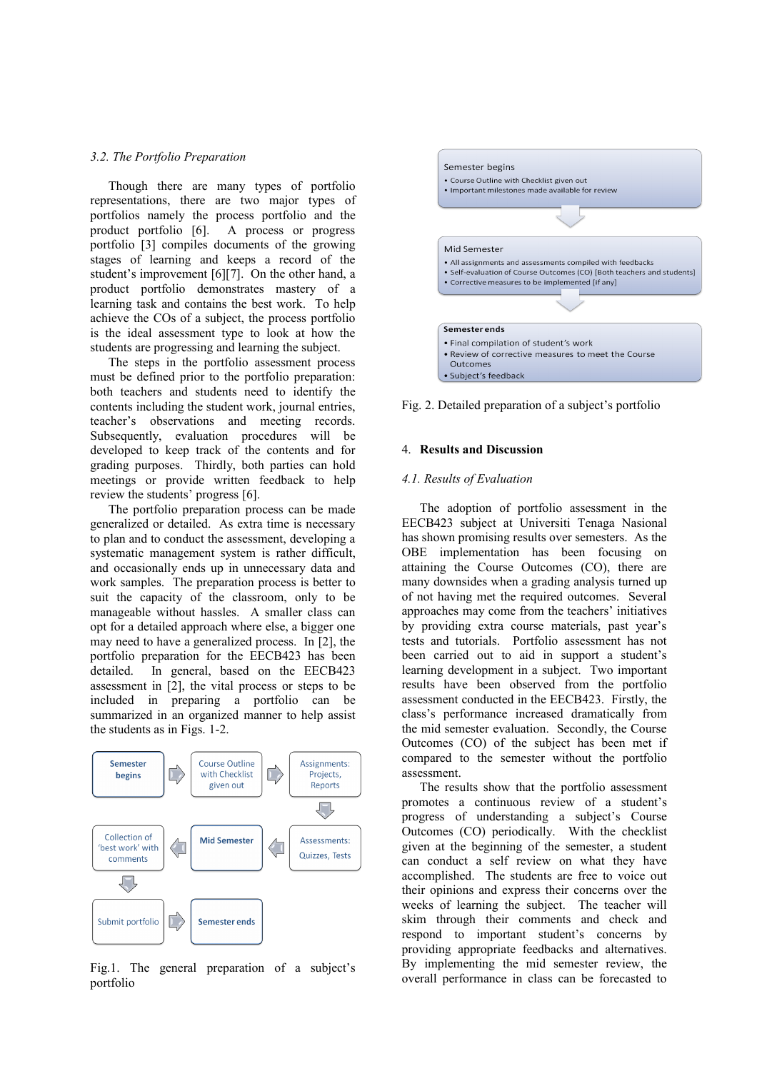#### *3.2. The Portfolio Preparation*

Though there are many types of portfolio representations, there are two major types of portfolios namely the process portfolio and the product portfolio [6]. A process or progress portfolio [3] compiles documents of the growing stages of learning and keeps a record of the student's improvement [6][7]. On the other hand, a product portfolio demonstrates mastery of a learning task and contains the best work. To help achieve the COs of a subject, the process portfolio is the ideal assessment type to look at how the students are progressing and learning the subject.

The steps in the portfolio assessment process must be defined prior to the portfolio preparation: both teachers and students need to identify the contents including the student work, journal entries, teacher's observations and meeting records. Subsequently, evaluation procedures will be developed to keep track of the contents and for grading purposes. Thirdly, both parties can hold meetings or provide written feedback to help review the students' progress [6].

The portfolio preparation process can be made generalized or detailed. As extra time is necessary to plan and to conduct the assessment, developing a systematic management system is rather difficult, and occasionally ends up in unnecessary data and work samples. The preparation process is better to suit the capacity of the classroom, only to be manageable without hassles. A smaller class can opt for a detailed approach where else, a bigger one may need to have a generalized process. In [2], the portfolio preparation for the EECB423 has been detailed. In general, based on the EECB423 assessment in [2], the vital process or steps to be included in preparing a portfolio can be summarized in an organized manner to help assist the students as in Figs. 1-2.



Fig.1. The general preparation of a subject's portfolio



Fig. 2. Detailed preparation of a subject's portfolio

# 4. **Results and Discussion**

# *4.1. Results of Evaluation*

The adoption of portfolio assessment in the EECB423 subject at Universiti Tenaga Nasional has shown promising results over semesters. As the OBE implementation has been focusing on attaining the Course Outcomes (CO), there are many downsides when a grading analysis turned up of not having met the required outcomes. Several approaches may come from the teachers' initiatives by providing extra course materials, past year's tests and tutorials. Portfolio assessment has not been carried out to aid in support a student's learning development in a subject. Two important results have been observed from the portfolio assessment conducted in the EECB423. Firstly, the class's performance increased dramatically from the mid semester evaluation. Secondly, the Course Outcomes (CO) of the subject has been met if compared to the semester without the portfolio assessment.

The results show that the portfolio assessment promotes a continuous review of a student's progress of understanding a subject's Course Outcomes (CO) periodically. With the checklist given at the beginning of the semester, a student can conduct a self review on what they have accomplished. The students are free to voice out their opinions and express their concerns over the weeks of learning the subject. The teacher will skim through their comments and check and respond to important student's concerns by providing appropriate feedbacks and alternatives. By implementing the mid semester review, the overall performance in class can be forecasted to